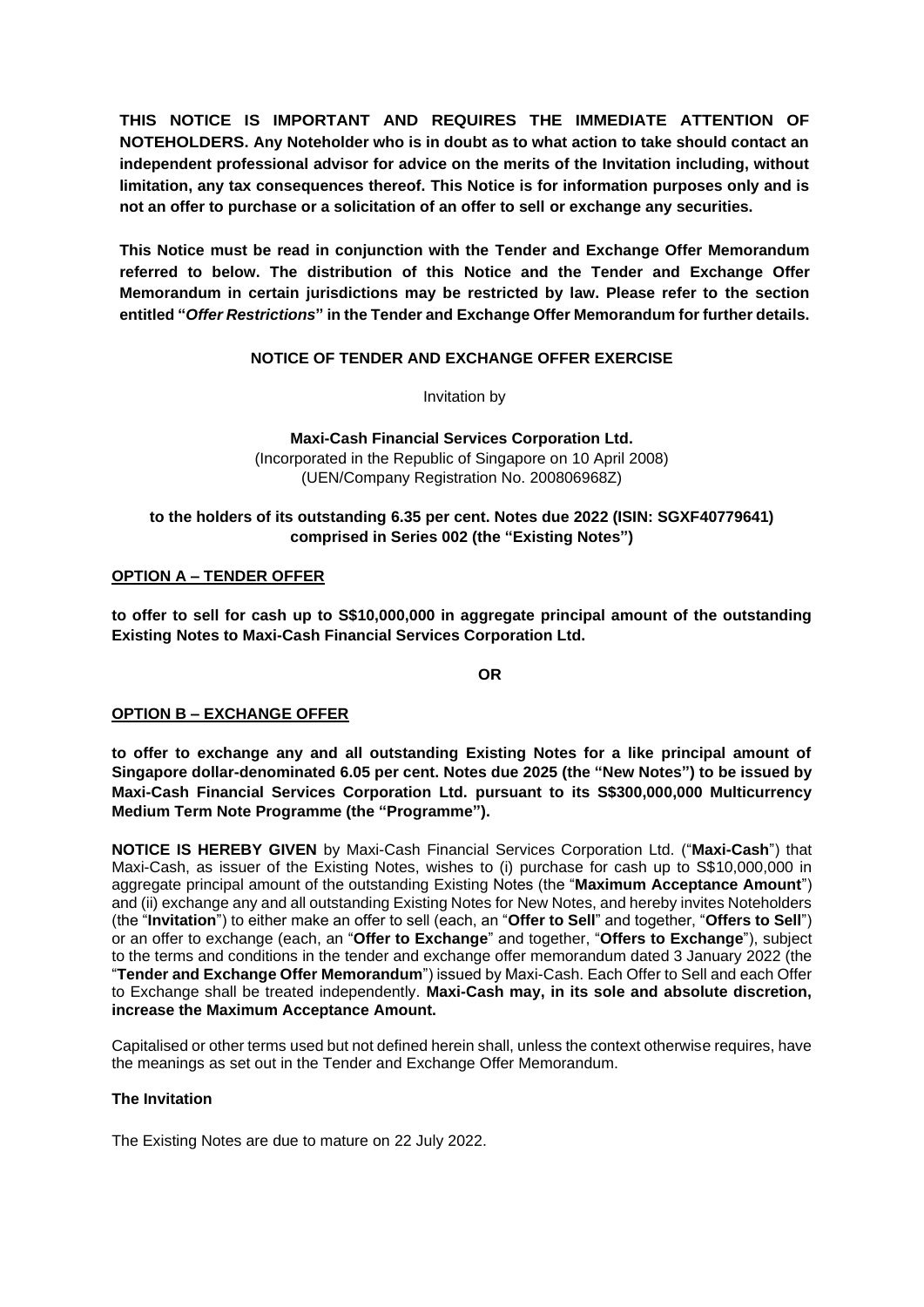**THIS NOTICE IS IMPORTANT AND REQUIRES THE IMMEDIATE ATTENTION OF NOTEHOLDERS. Any Noteholder who is in doubt as to what action to take should contact an independent professional advisor for advice on the merits of the Invitation including, without limitation, any tax consequences thereof. This Notice is for information purposes only and is not an offer to purchase or a solicitation of an offer to sell or exchange any securities.** 

**This Notice must be read in conjunction with the Tender and Exchange Offer Memorandum referred to below. The distribution of this Notice and the Tender and Exchange Offer Memorandum in certain jurisdictions may be restricted by law. Please refer to the section entitled "***Offer Restrictions***" in the Tender and Exchange Offer Memorandum for further details.**

### **NOTICE OF TENDER AND EXCHANGE OFFER EXERCISE**

Invitation by

**Maxi-Cash Financial Services Corporation Ltd.** (Incorporated in the Republic of Singapore on 10 April 2008) (UEN/Company Registration No. 200806968Z)

### **to the holders of its outstanding 6.35 per cent. Notes due 2022 (ISIN: SGXF40779641) comprised in Series 002 (the "Existing Notes")**

### **OPTION A – TENDER OFFER**

**to offer to sell for cash up to S\$10,000,000 in aggregate principal amount of the outstanding Existing Notes to Maxi-Cash Financial Services Corporation Ltd.** 

**OR**

### **OPTION B – EXCHANGE OFFER**

**to offer to exchange any and all outstanding Existing Notes for a like principal amount of Singapore dollar-denominated 6.05 per cent. Notes due 2025 (the "New Notes") to be issued by Maxi-Cash Financial Services Corporation Ltd. pursuant to its S\$300,000,000 Multicurrency Medium Term Note Programme (the "Programme").**

**NOTICE IS HEREBY GIVEN** by Maxi-Cash Financial Services Corporation Ltd. ("**Maxi-Cash**") that Maxi-Cash, as issuer of the Existing Notes, wishes to (i) purchase for cash up to S\$10,000,000 in aggregate principal amount of the outstanding Existing Notes (the "**Maximum Acceptance Amount**") and (ii) exchange any and all outstanding Existing Notes for New Notes, and hereby invites Noteholders (the "**Invitation**") to either make an offer to sell (each, an "**Offer to Sell**" and together, "**Offers to Sell**") or an offer to exchange (each, an "**Offer to Exchange**" and together, "**Offers to Exchange**"), subject to the terms and conditions in the tender and exchange offer memorandum dated 3 January 2022 (the "**Tender and Exchange Offer Memorandum**") issued by Maxi-Cash. Each Offer to Sell and each Offer to Exchange shall be treated independently. **Maxi-Cash may, in its sole and absolute discretion, increase the Maximum Acceptance Amount.**

Capitalised or other terms used but not defined herein shall, unless the context otherwise requires, have the meanings as set out in the Tender and Exchange Offer Memorandum.

#### **The Invitation**

The Existing Notes are due to mature on 22 July 2022.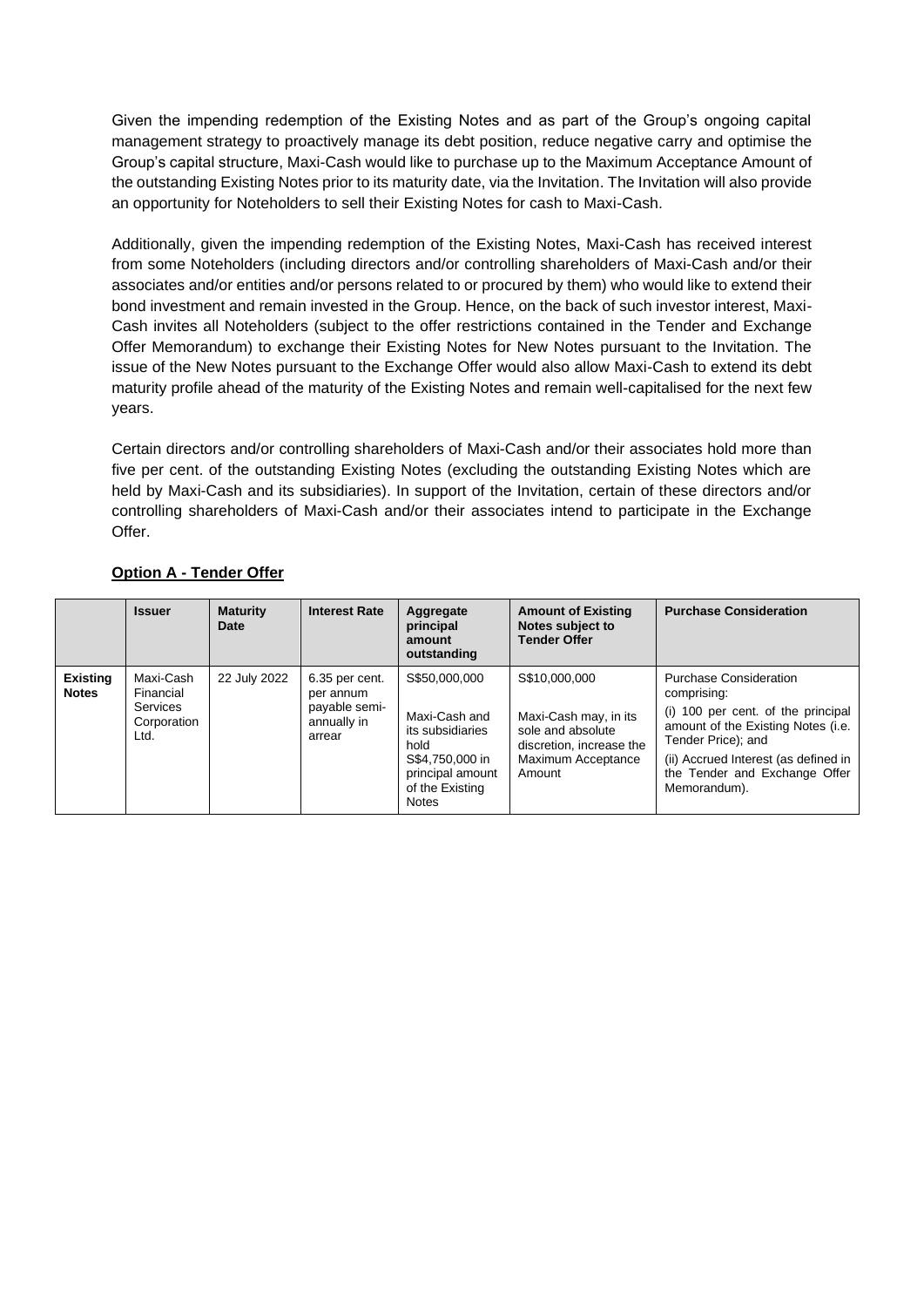Given the impending redemption of the Existing Notes and as part of the Group's ongoing capital management strategy to proactively manage its debt position, reduce negative carry and optimise the Group's capital structure, Maxi-Cash would like to purchase up to the Maximum Acceptance Amount of the outstanding Existing Notes prior to its maturity date, via the Invitation. The Invitation will also provide an opportunity for Noteholders to sell their Existing Notes for cash to Maxi-Cash.

Additionally, given the impending redemption of the Existing Notes, Maxi-Cash has received interest from some Noteholders (including directors and/or controlling shareholders of Maxi-Cash and/or their associates and/or entities and/or persons related to or procured by them) who would like to extend their bond investment and remain invested in the Group. Hence, on the back of such investor interest, Maxi-Cash invites all Noteholders (subject to the offer restrictions contained in the Tender and Exchange Offer Memorandum) to exchange their Existing Notes for New Notes pursuant to the Invitation. The issue of the New Notes pursuant to the Exchange Offer would also allow Maxi-Cash to extend its debt maturity profile ahead of the maturity of the Existing Notes and remain well-capitalised for the next few years.

Certain directors and/or controlling shareholders of Maxi-Cash and/or their associates hold more than five per cent. of the outstanding Existing Notes (excluding the outstanding Existing Notes which are held by Maxi-Cash and its subsidiaries). In support of the Invitation, certain of these directors and/or controlling shareholders of Maxi-Cash and/or their associates intend to participate in the Exchange Offer.

|                                 | <b>Issuer</b>                                             | <b>Maturity</b><br>Date | <b>Interest Rate</b>                                                  | Aggregate<br>principal<br>amount<br>outstanding                                                                                      | <b>Amount of Existing</b><br>Notes subject to<br><b>Tender Offer</b>                                                    | <b>Purchase Consideration</b>                                                                                                                                                                                                           |
|---------------------------------|-----------------------------------------------------------|-------------------------|-----------------------------------------------------------------------|--------------------------------------------------------------------------------------------------------------------------------------|-------------------------------------------------------------------------------------------------------------------------|-----------------------------------------------------------------------------------------------------------------------------------------------------------------------------------------------------------------------------------------|
| <b>Existing</b><br><b>Notes</b> | Maxi-Cash<br>Financial<br>Services<br>Corporation<br>Ltd. | 22 July 2022            | 6.35 per cent.<br>per annum<br>payable semi-<br>annually in<br>arrear | S\$50,000,000<br>Maxi-Cash and<br>its subsidiaries<br>hold<br>S\$4,750,000 in<br>principal amount<br>of the Existing<br><b>Notes</b> | S\$10,000,000<br>Maxi-Cash may, in its<br>sole and absolute<br>discretion, increase the<br>Maximum Acceptance<br>Amount | <b>Purchase Consideration</b><br>comprising:<br>(i) 100 per cent. of the principal<br>amount of the Existing Notes (i.e.<br>Tender Price); and<br>(ii) Accrued Interest (as defined in<br>the Tender and Exchange Offer<br>Memorandum). |

# **Option A - Tender Offer**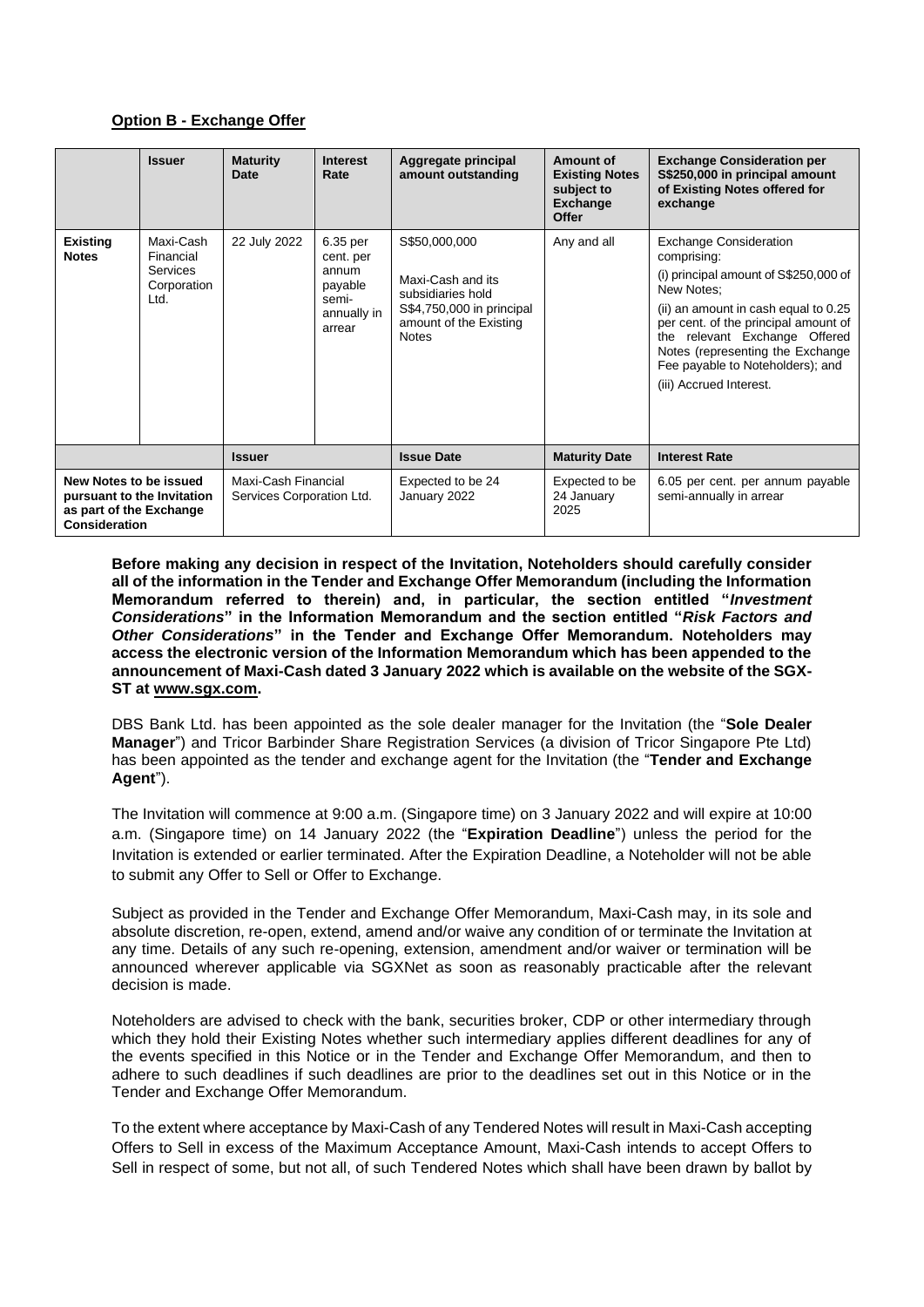## **Option B - Exchange Offer**

|                                                                                                  | <b>Issuer</b>                                             | <b>Maturity</b><br>Date                          | <b>Interest</b><br>Rate                                                     | Aggregate principal<br>amount outstanding                                                                                      | Amount of<br><b>Existing Notes</b><br>subject to<br><b>Exchange</b><br>Offer | <b>Exchange Consideration per</b><br>S\$250,000 in principal amount<br>of Existing Notes offered for<br>exchange                                                                                                                                                                                                        |
|--------------------------------------------------------------------------------------------------|-----------------------------------------------------------|--------------------------------------------------|-----------------------------------------------------------------------------|--------------------------------------------------------------------------------------------------------------------------------|------------------------------------------------------------------------------|-------------------------------------------------------------------------------------------------------------------------------------------------------------------------------------------------------------------------------------------------------------------------------------------------------------------------|
| <b>Existing</b><br><b>Notes</b>                                                                  | Maxi-Cash<br>Financial<br>Services<br>Corporation<br>Ltd. | 22 July 2022                                     | 6.35 per<br>cent. per<br>annum<br>payable<br>semi-<br>annually in<br>arrear | S\$50,000,000<br>Maxi-Cash and its<br>subsidiaries hold<br>S\$4,750,000 in principal<br>amount of the Existing<br><b>Notes</b> | Any and all                                                                  | <b>Exchange Consideration</b><br>comprising:<br>(i) principal amount of S\$250,000 of<br>New Notes:<br>(ii) an amount in cash equal to 0.25<br>per cent. of the principal amount of<br>the relevant Exchange Offered<br>Notes (representing the Exchange<br>Fee payable to Noteholders); and<br>(iii) Accrued Interest. |
|                                                                                                  |                                                           | <b>Issuer</b>                                    |                                                                             | <b>Issue Date</b>                                                                                                              | <b>Maturity Date</b>                                                         | <b>Interest Rate</b>                                                                                                                                                                                                                                                                                                    |
| New Notes to be issued<br>pursuant to the Invitation<br>as part of the Exchange<br>Consideration |                                                           | Maxi-Cash Financial<br>Services Corporation Ltd. |                                                                             | Expected to be 24<br>January 2022                                                                                              | Expected to be<br>24 January<br>2025                                         | 6.05 per cent. per annum payable<br>semi-annually in arrear                                                                                                                                                                                                                                                             |

**Before making any decision in respect of the Invitation, Noteholders should carefully consider all of the information in the Tender and Exchange Offer Memorandum (including the Information Memorandum referred to therein) and, in particular, the section entitled "***Investment Considerations***" in the Information Memorandum and the section entitled "***Risk Factors and Other Considerations***" in the Tender and Exchange Offer Memorandum. Noteholders may access the electronic version of the Information Memorandum which has been appended to the announcement of Maxi-Cash dated 3 January 2022 which is available on the website of the SGX-ST at [www.sgx.com.](file:///C:/Users/hyt/AppData/Local/Microsoft/Windows/INetCache/Content.Outlook/72E0PNRX/www.sgx.com)**

DBS Bank Ltd. has been appointed as the sole dealer manager for the Invitation (the "**Sole Dealer Manager**") and Tricor Barbinder Share Registration Services (a division of Tricor Singapore Pte Ltd) has been appointed as the tender and exchange agent for the Invitation (the "**Tender and Exchange Agent**").

The Invitation will commence at 9:00 a.m. (Singapore time) on 3 January 2022 and will expire at 10:00 a.m. (Singapore time) on 14 January 2022 (the "**Expiration Deadline**") unless the period for the Invitation is extended or earlier terminated. After the Expiration Deadline, a Noteholder will not be able to submit any Offer to Sell or Offer to Exchange.

Subject as provided in the Tender and Exchange Offer Memorandum, Maxi-Cash may, in its sole and absolute discretion, re-open, extend, amend and/or waive any condition of or terminate the Invitation at any time. Details of any such re-opening, extension, amendment and/or waiver or termination will be announced wherever applicable via SGXNet as soon as reasonably practicable after the relevant decision is made.

Noteholders are advised to check with the bank, securities broker, CDP or other intermediary through which they hold their Existing Notes whether such intermediary applies different deadlines for any of the events specified in this Notice or in the Tender and Exchange Offer Memorandum, and then to adhere to such deadlines if such deadlines are prior to the deadlines set out in this Notice or in the Tender and Exchange Offer Memorandum.

To the extent where acceptance by Maxi-Cash of any Tendered Notes will result in Maxi-Cash accepting Offers to Sell in excess of the Maximum Acceptance Amount, Maxi-Cash intends to accept Offers to Sell in respect of some, but not all, of such Tendered Notes which shall have been drawn by ballot by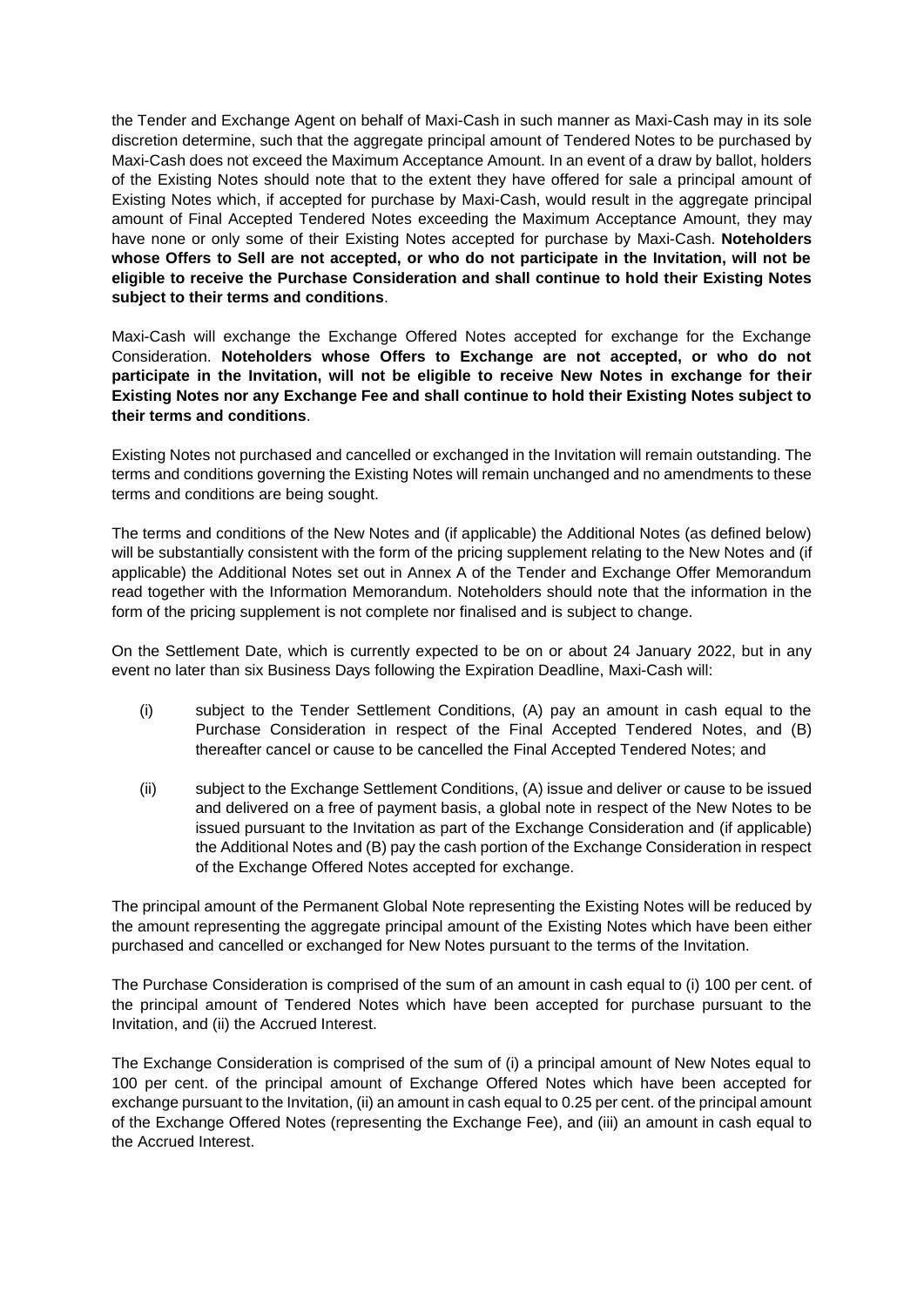the Tender and Exchange Agent on behalf of Maxi-Cash in such manner as Maxi-Cash may in its sole discretion determine, such that the aggregate principal amount of Tendered Notes to be purchased by Maxi-Cash does not exceed the Maximum Acceptance Amount. In an event of a draw by ballot, holders of the Existing Notes should note that to the extent they have offered for sale a principal amount of Existing Notes which, if accepted for purchase by Maxi-Cash, would result in the aggregate principal amount of Final Accepted Tendered Notes exceeding the Maximum Acceptance Amount, they may have none or only some of their Existing Notes accepted for purchase by Maxi-Cash. **Noteholders whose Offers to Sell are not accepted, or who do not participate in the Invitation, will not be eligible to receive the Purchase Consideration and shall continue to hold their Existing Notes subject to their terms and conditions**.

Maxi-Cash will exchange the Exchange Offered Notes accepted for exchange for the Exchange Consideration. **Noteholders whose Offers to Exchange are not accepted, or who do not participate in the Invitation, will not be eligible to receive New Notes in exchange for their Existing Notes nor any Exchange Fee and shall continue to hold their Existing Notes subject to their terms and conditions**.

Existing Notes not purchased and cancelled or exchanged in the Invitation will remain outstanding. The terms and conditions governing the Existing Notes will remain unchanged and no amendments to these terms and conditions are being sought.

The terms and conditions of the New Notes and (if applicable) the Additional Notes (as defined below) will be substantially consistent with the form of the pricing supplement relating to the New Notes and (if applicable) the Additional Notes set out in Annex A of the Tender and Exchange Offer Memorandum read together with the Information Memorandum. Noteholders should note that the information in the form of the pricing supplement is not complete nor finalised and is subject to change.

On the Settlement Date, which is currently expected to be on or about 24 January 2022, but in any event no later than six Business Days following the Expiration Deadline, Maxi-Cash will:

- (i) subject to the Tender Settlement Conditions, (A) pay an amount in cash equal to the Purchase Consideration in respect of the Final Accepted Tendered Notes, and (B) thereafter cancel or cause to be cancelled the Final Accepted Tendered Notes; and
- (ii) subject to the Exchange Settlement Conditions, (A) issue and deliver or cause to be issued and delivered on a free of payment basis, a global note in respect of the New Notes to be issued pursuant to the Invitation as part of the Exchange Consideration and (if applicable) the Additional Notes and (B) pay the cash portion of the Exchange Consideration in respect of the Exchange Offered Notes accepted for exchange.

The principal amount of the Permanent Global Note representing the Existing Notes will be reduced by the amount representing the aggregate principal amount of the Existing Notes which have been either purchased and cancelled or exchanged for New Notes pursuant to the terms of the Invitation.

The Purchase Consideration is comprised of the sum of an amount in cash equal to (i) 100 per cent. of the principal amount of Tendered Notes which have been accepted for purchase pursuant to the Invitation, and (ii) the Accrued Interest.

The Exchange Consideration is comprised of the sum of (i) a principal amount of New Notes equal to 100 per cent. of the principal amount of Exchange Offered Notes which have been accepted for exchange pursuant to the Invitation, (ii) an amount in cash equal to 0.25 per cent. of the principal amount of the Exchange Offered Notes (representing the Exchange Fee), and (iii) an amount in cash equal to the Accrued Interest.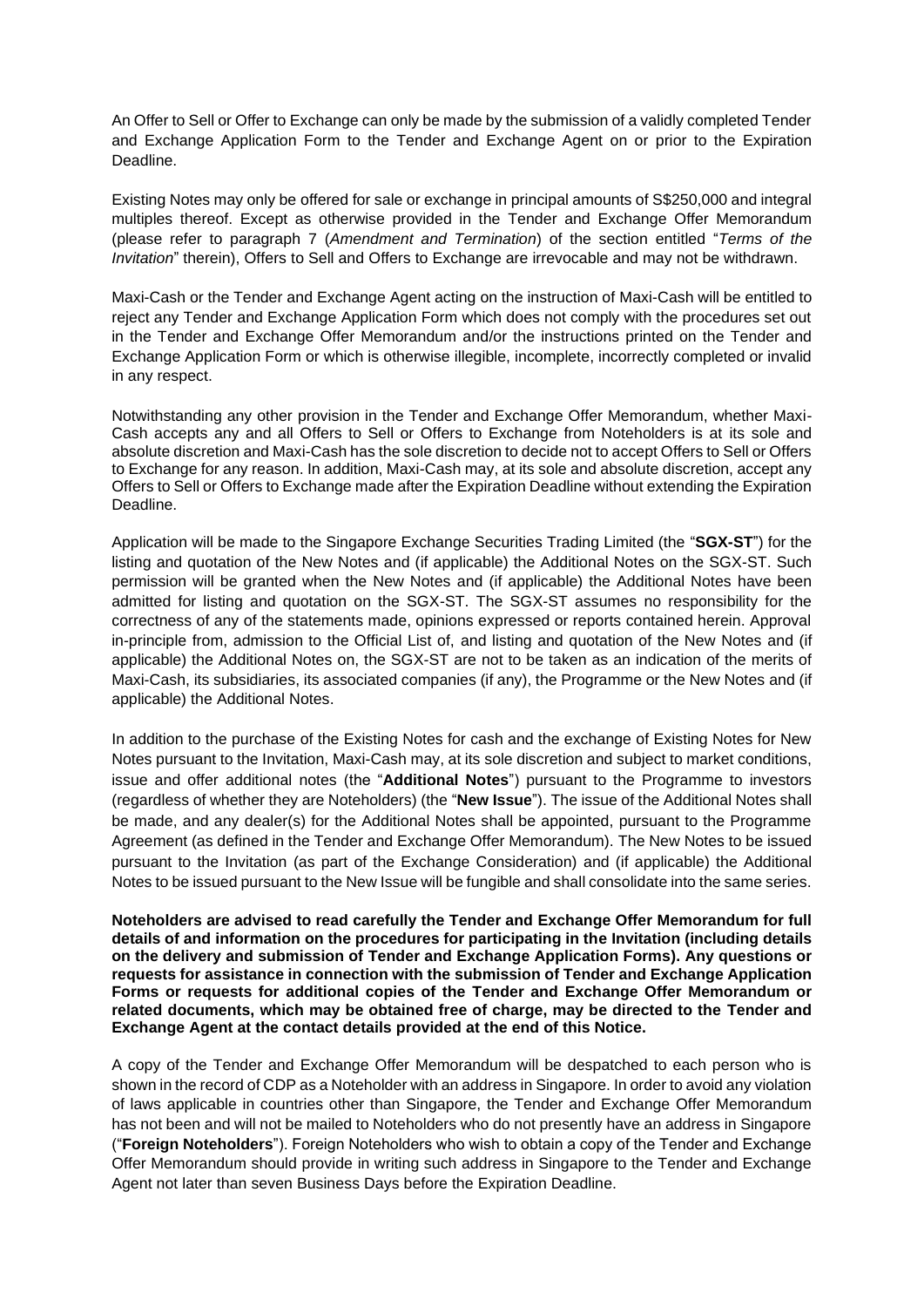An Offer to Sell or Offer to Exchange can only be made by the submission of a validly completed Tender and Exchange Application Form to the Tender and Exchange Agent on or prior to the Expiration Deadline.

Existing Notes may only be offered for sale or exchange in principal amounts of S\$250,000 and integral multiples thereof. Except as otherwise provided in the Tender and Exchange Offer Memorandum (please refer to paragraph 7 (*Amendment and Termination*) of the section entitled "*Terms of the Invitation*" therein), Offers to Sell and Offers to Exchange are irrevocable and may not be withdrawn.

Maxi-Cash or the Tender and Exchange Agent acting on the instruction of Maxi-Cash will be entitled to reject any Tender and Exchange Application Form which does not comply with the procedures set out in the Tender and Exchange Offer Memorandum and/or the instructions printed on the Tender and Exchange Application Form or which is otherwise illegible, incomplete, incorrectly completed or invalid in any respect.

Notwithstanding any other provision in the Tender and Exchange Offer Memorandum, whether Maxi-Cash accepts any and all Offers to Sell or Offers to Exchange from Noteholders is at its sole and absolute discretion and Maxi-Cash has the sole discretion to decide not to accept Offers to Sell or Offers to Exchange for any reason. In addition, Maxi-Cash may, at its sole and absolute discretion, accept any Offers to Sell or Offers to Exchange made after the Expiration Deadline without extending the Expiration Deadline.

Application will be made to the Singapore Exchange Securities Trading Limited (the "**SGX-ST**") for the listing and quotation of the New Notes and (if applicable) the Additional Notes on the SGX-ST. Such permission will be granted when the New Notes and (if applicable) the Additional Notes have been admitted for listing and quotation on the SGX-ST. The SGX-ST assumes no responsibility for the correctness of any of the statements made, opinions expressed or reports contained herein. Approval in-principle from, admission to the Official List of, and listing and quotation of the New Notes and (if applicable) the Additional Notes on, the SGX-ST are not to be taken as an indication of the merits of Maxi-Cash, its subsidiaries, its associated companies (if any), the Programme or the New Notes and (if applicable) the Additional Notes.

In addition to the purchase of the Existing Notes for cash and the exchange of Existing Notes for New Notes pursuant to the Invitation, Maxi-Cash may, at its sole discretion and subject to market conditions, issue and offer additional notes (the "**Additional Notes**") pursuant to the Programme to investors (regardless of whether they are Noteholders) (the "**New Issue**"). The issue of the Additional Notes shall be made, and any dealer(s) for the Additional Notes shall be appointed, pursuant to the Programme Agreement (as defined in the Tender and Exchange Offer Memorandum). The New Notes to be issued pursuant to the Invitation (as part of the Exchange Consideration) and (if applicable) the Additional Notes to be issued pursuant to the New Issue will be fungible and shall consolidate into the same series.

**Noteholders are advised to read carefully the Tender and Exchange Offer Memorandum for full details of and information on the procedures for participating in the Invitation (including details on the delivery and submission of Tender and Exchange Application Forms). Any questions or requests for assistance in connection with the submission of Tender and Exchange Application Forms or requests for additional copies of the Tender and Exchange Offer Memorandum or related documents, which may be obtained free of charge, may be directed to the Tender and Exchange Agent at the contact details provided at the end of this Notice.**

A copy of the Tender and Exchange Offer Memorandum will be despatched to each person who is shown in the record of CDP as a Noteholder with an address in Singapore. In order to avoid any violation of laws applicable in countries other than Singapore, the Tender and Exchange Offer Memorandum has not been and will not be mailed to Noteholders who do not presently have an address in Singapore ("**Foreign Noteholders**"). Foreign Noteholders who wish to obtain a copy of the Tender and Exchange Offer Memorandum should provide in writing such address in Singapore to the Tender and Exchange Agent not later than seven Business Days before the Expiration Deadline.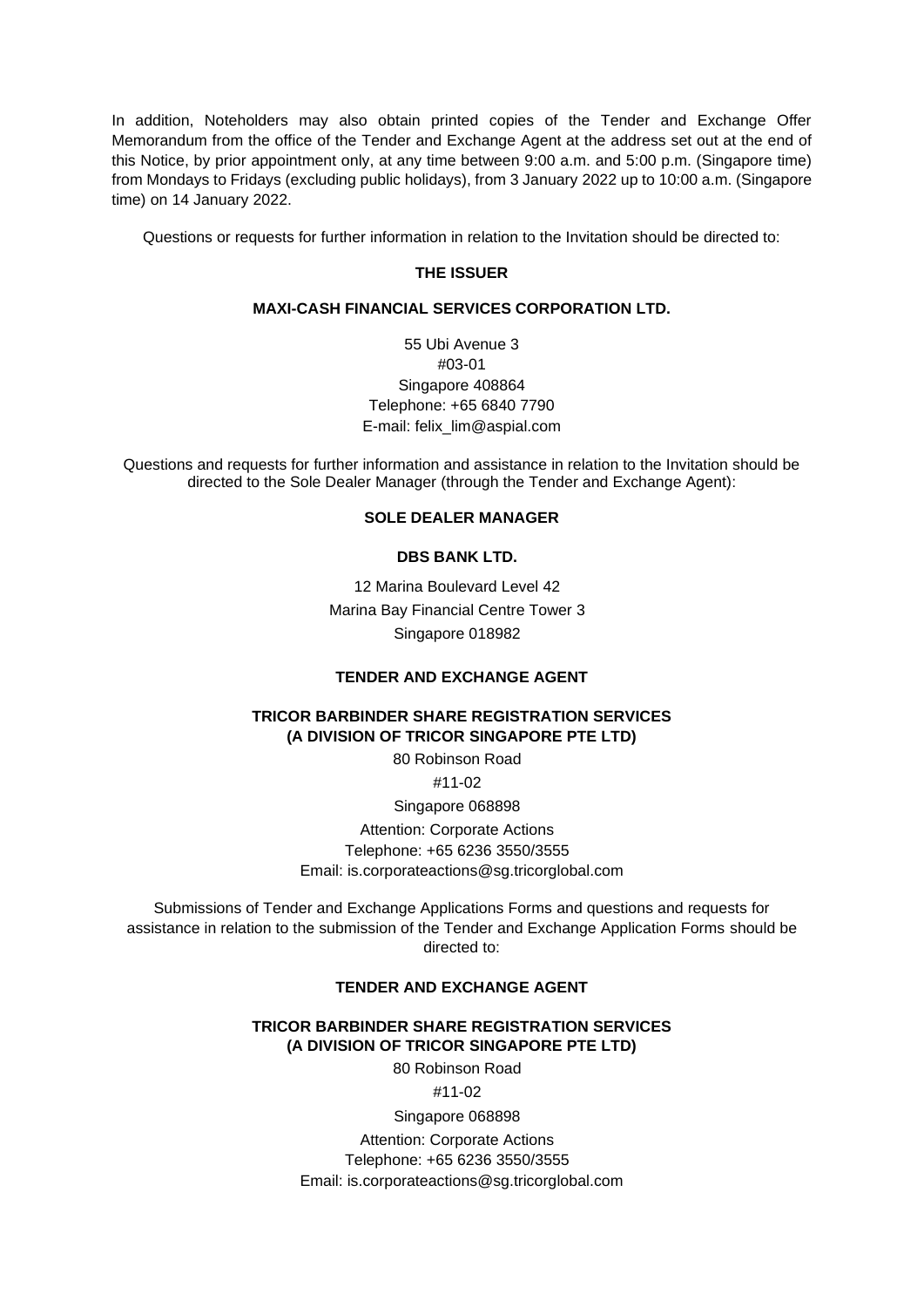In addition, Noteholders may also obtain printed copies of the Tender and Exchange Offer Memorandum from the office of the Tender and Exchange Agent at the address set out at the end of this Notice, by prior appointment only, at any time between 9:00 a.m. and 5:00 p.m. (Singapore time) from Mondays to Fridays (excluding public holidays), from 3 January 2022 up to 10:00 a.m. (Singapore time) on 14 January 2022.

Questions or requests for further information in relation to the Invitation should be directed to:

### **THE ISSUER**

#### **MAXI-CASH FINANCIAL SERVICES CORPORATION LTD.**

55 Ubi Avenue 3 #03-01 Singapore 408864 Telephone: +65 6840 7790 E-mail: felix\_lim@aspial.com

Questions and requests for further information and assistance in relation to the Invitation should be directed to the Sole Dealer Manager (through the Tender and Exchange Agent):

## **SOLE DEALER MANAGER**

### **DBS BANK LTD.**

12 Marina Boulevard Level 42 Marina Bay Financial Centre Tower 3 Singapore 018982

#### **TENDER AND EXCHANGE AGENT**

## **TRICOR BARBINDER SHARE REGISTRATION SERVICES (A DIVISION OF TRICOR SINGAPORE PTE LTD)**

80 Robinson Road #11-02

Singapore 068898

Attention: Corporate Actions Telephone: +65 6236 3550/3555 Email: is.corporateactions@sg.tricorglobal.com

Submissions of Tender and Exchange Applications Forms and questions and requests for assistance in relation to the submission of the Tender and Exchange Application Forms should be directed to:

# **TENDER AND EXCHANGE AGENT**

### **TRICOR BARBINDER SHARE REGISTRATION SERVICES (A DIVISION OF TRICOR SINGAPORE PTE LTD)**

80 Robinson Road

#11-02

Singapore 068898 Attention: Corporate Actions Telephone: +65 6236 3550/3555 Email: is.corporateactions@sg.tricorglobal.com